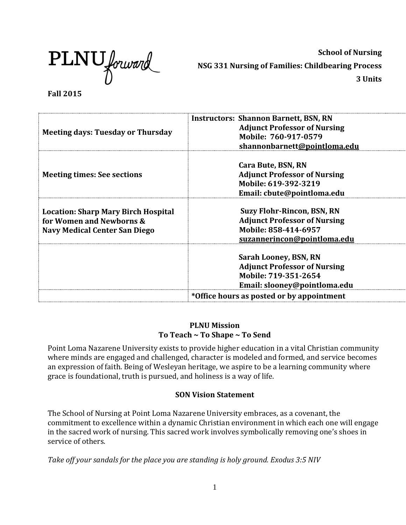

**School of Nursing NSG 331 Nursing of Families: Childbearing Process 3 Units**

**Fall 2015**

| <b>Meeting days: Tuesday or Thursday</b>                                                                       | <b>Instructors: Shannon Barnett, BSN, RN</b><br><b>Adjunct Professor of Nursing</b><br>Mobile: 760-917-0579<br>shannonbarnett@pointloma.edu |
|----------------------------------------------------------------------------------------------------------------|---------------------------------------------------------------------------------------------------------------------------------------------|
| <b>Meeting times: See sections</b>                                                                             | Cara Bute, BSN, RN<br><b>Adjunct Professor of Nursing</b><br>Mobile: 619-392-3219<br>Email: cbute@pointloma.edu                             |
| <b>Location: Sharp Mary Birch Hospital</b><br>for Women and Newborns &<br><b>Navy Medical Center San Diego</b> | <b>Suzy Flohr-Rincon, BSN, RN</b><br><b>Adjunct Professor of Nursing</b><br>Mobile: 858-414-6957<br>suzannerincon@pointloma.edu             |
|                                                                                                                | <b>Sarah Looney, BSN, RN</b><br><b>Adjunct Professor of Nursing</b><br>Mobile: 719-351-2654<br>Email: slooney@pointloma.edu                 |
|                                                                                                                | *Office hours as posted or by appointment                                                                                                   |

# **PLNU Mission To Teach ~ To Shape ~ To Send**

Point Loma Nazarene University exists to provide higher education in a vital Christian community where minds are engaged and challenged, character is modeled and formed, and service becomes an expression of faith. Being of Wesleyan heritage, we aspire to be a learning community where grace is foundational, truth is pursued, and holiness is a way of life.

# **SON Vision Statement**

The School of Nursing at Point Loma Nazarene University embraces, as a covenant, the commitment to excellence within a dynamic Christian environment in which each one will engage in the sacred work of nursing. This sacred work involves symbolically removing one's shoes in service of others.

*Take off your sandals for the place you are standing is holy ground. Exodus 3:5 NIV*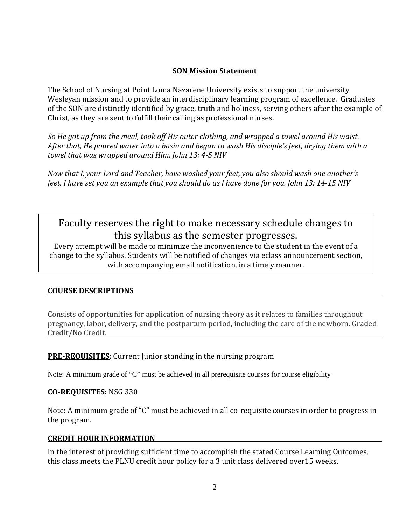# **SON Mission Statement**

The School of Nursing at Point Loma Nazarene University exists to support the university Wesleyan mission and to provide an interdisciplinary learning program of excellence. Graduates of the SON are distinctly identified by grace, truth and holiness, serving others after the example of Christ, as they are sent to fulfill their calling as professional nurses.

*So He got up from the meal, took off His outer clothing, and wrapped a towel around His waist. After that, He poured water into a basin and began to wash His disciple's feet, drying them with a towel that was wrapped around Him. John 13: 4-5 NIV* 

*Now that I, your Lord and Teacher, have washed your feet, you also should wash one another's feet. I have set you an example that you should do as I have done for you. John 13: 14-15 NIV* 

Faculty reserves the right to make necessary schedule changes to this syllabus as the semester progresses.

Every attempt will be made to minimize the inconvenience to the student in the event of a change to the syllabus. Students will be notified of changes via eclass announcement section, with accompanying email notification, in a timely manner.

# **COURSE DESCRIPTIONS**

Consists of opportunities for application of nursing theory as it relates to families throughout pregnancy, labor, delivery, and the postpartum period, including the care of the newborn. Graded Credit/No Credit.

# **PRE-REQUISITES:** Current Junior standing in the nursing program

Note: A minimum grade of "C" must be achieved in all prerequisite courses for course eligibility

## **CO-REQUISITES:** NSG 330

Note: A minimum grade of "C" must be achieved in all co-requisite courses in order to progress in the program.

## **CREDIT HOUR INFORMATION**

In the interest of providing sufficient time to accomplish the stated Course Learning Outcomes, this class meets the PLNU credit hour policy for a 3 unit class delivered over15 weeks.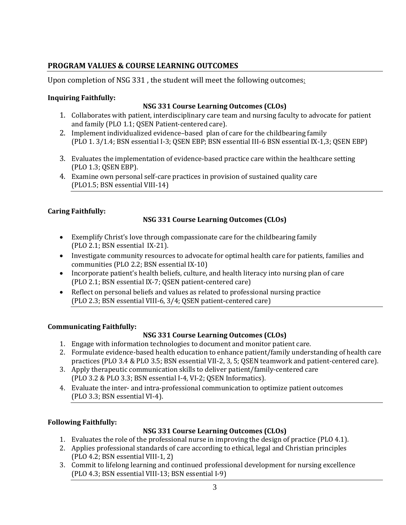# **PROGRAM VALUES & COURSE LEARNING OUTCOMES**

Upon completion of NSG 331 , the student will meet the following outcomes:

# **Inquiring Faithfully:**

# **NSG 331 Course Learning Outcomes (CLOs)**

- 1. Collaborates with patient, interdisciplinary care team and nursing faculty to advocate for patient and family (PLO 1.1; QSEN Patient-centered care).
- 2. Implement individualized evidence–based plan of care for the childbearing family (PLO 1. 3/1.4; BSN essential I-3; QSEN EBP; BSN essential III-6 BSN essential IX-1,3; QSEN EBP)
- 3. Evaluates the implementation of evidence-based practice care within the healthcare setting (PLO 1.3; QSEN EBP).
- 4. Examine own personal self-care practices in provision of sustained quality care (PLO1.5; BSN essential VIII-14)

# **Caring Faithfully:**

# **NSG 331 Course Learning Outcomes (CLOs)**

- Exemplify Christ's love through compassionate care for the childbearing family (PLO 2.1; BSN essential IX-21).
- Investigate community resources to advocate for optimal health care for patients, families and communities (PLO 2.2; BSN essential IX-10)
- Incorporate patient's health beliefs, culture, and health literacy into nursing plan of care (PLO 2.1; BSN essential IX-7; QSEN patient-centered care)
- Reflect on personal beliefs and values as related to professional nursing practice (PLO 2.3; BSN essential VIII-6, 3/4; QSEN patient-centered care)

## **Communicating Faithfully:**

# **NSG 331 Course Learning Outcomes (CLOs)**

- 1. Engage with information technologies to document and monitor patient care.
- 2. Formulate evidence-based health education to enhance patient/family understanding of health care practices (PLO 3.4 & PLO 3.5; BSN essential VII-2, 3, 5; QSEN teamwork and patient-centered care).
- 3. Apply therapeutic communication skills to deliver patient/family-centered care (PLO 3.2 & PLO 3.3; BSN essential I-4, VI-2; QSEN Informatics).
- 4. Evaluate the inter- and intra-professional communication to optimize patient outcomes (PLO 3.3; BSN essential VI-4).

## **Following Faithfully:**

## **NSG 331 Course Learning Outcomes (CLOs)**

- 1. Evaluates the role of the professional nurse in improving the design of practice (PLO 4.1).
- 2. Applies professional standards of care according to ethical, legal and Christian principles (PLO 4.2; BSN essential VIII-1, 2)
- 3. Commit to lifelong learning and continued professional development for nursing excellence (PLO 4.3; BSN essential VIII-13; BSN essential I-9)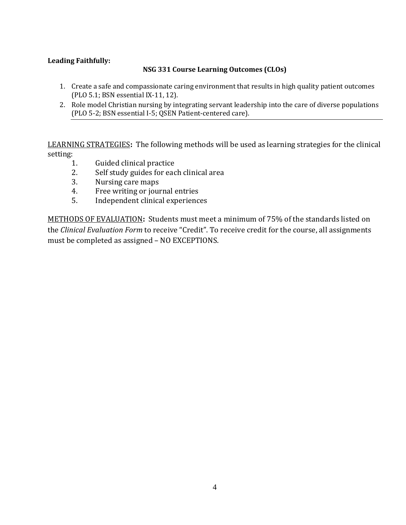# **Leading Faithfully:**

# **NSG 331 Course Learning Outcomes (CLOs)**

- 1. Create a safe and compassionate caring environment that results in high quality patient outcomes (PLO 5.1; BSN essential IX-11, 12).
- 2. Role model Christian nursing by integrating servant leadership into the care of diverse populations (PLO 5-2; BSN essential I-5; QSEN Patient-centered care).

LEARNING STRATEGIES**:** The following methods will be used as learning strategies for the clinical setting:<br>1.

- 1. Guided clinical practice<br>2. Self study guides for eac
- 2. Self study guides for each clinical area<br>3. Nursing care maps
- 3. Nursing care maps<br>4. Free writing or journ
- 4. Free writing or journal entries<br>5. Independent clinical experience
- 5. Independent clinical experiences

METHODS OF EVALUATION**:** Students must meet a minimum of 75% of the standards listed on the *Clinical Evaluation Form* to receive "Credit". To receive credit for the course, all assignments must be completed as assigned – NO EXCEPTIONS.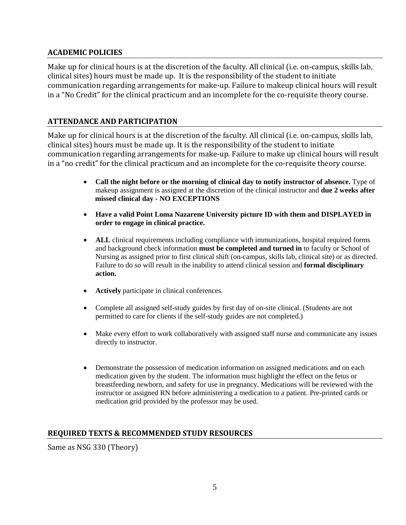# **ACADEMIC POLICIES**

Make up for clinical hours is at the discretion of the faculty. All clinical (i.e. on-campus, skills lab, clinical sites) hours must be made up. It is the responsibility of the student to initiate communication regarding arrangements for make-up. Failure to makeup clinical hours will result in a "No Credit" for the clinical practicum and an incomplete for the co-requisite theory course.

# **ATTENDANCE AND PARTICIPATION**

Make up for clinical hours is at the discretion of the faculty. All clinical (i.e. on-campus, skills lab, clinical sites) hours must be made up. It is the responsibility of the student to initiate communication regarding arrangements for make-up. Failure to make up clinical hours will result in a "no credit" for the clinical practicum and an incomplete for the co-requisite theory course.

- **Call the night before or the morning of clinical day to notify instructor of absence.** Type of makeup assignment is assigned at the discretion of the clinical instructor and **due 2 weeks after missed clinical day - NO EXCEPTIONS**
- **Have a valid Point Loma Nazarene University picture ID with them and DISPLAYED in order to engage in clinical practice.**
- **ALL** clinical requirements including compliance with immunizations, hospital required forms and background check information **must be completed and turned in** to faculty or School of Nursing as assigned prior to first clinical shift (on-campus, skills lab, clinical site) or as directed. Failure to do so will result in the inability to attend clinical session and **formal disciplinary action.**
- **Actively** participate in clinical conferences.
- Complete all assigned self-study guides by first day of on-site clinical. (Students are not permitted to care for clients if the self-study guides are not completed.)
- Make every effort to work collaboratively with assigned staff nurse and communicate any issues directly to instructor.
- Demonstrate the possession of medication information on assigned medications and on each medication given by the student. The information must highlight the effect on the fetus or breastfeeding newborn, and safety for use in pregnancy. Medications will be reviewed with the instructor or assigned RN before administering a medication to a patient. Pre-printed cards or medication grid provided by the professor may be used.

# **REQUIRED TEXTS & RECOMMENDED STUDY RESOURCES**

Same as NSG 330 (Theory)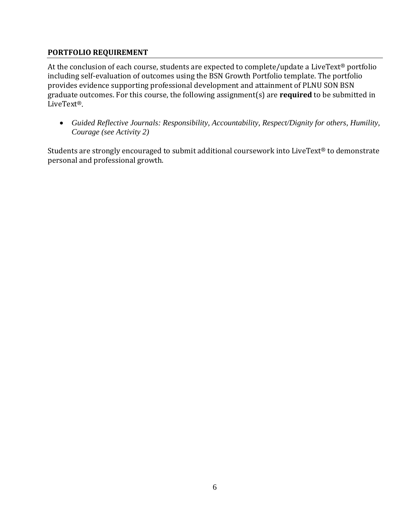# **PORTFOLIO REQUIREMENT**

At the conclusion of each course, students are expected to complete/update a LiveText® portfolio including self-evaluation of outcomes using the BSN Growth Portfolio template. The portfolio provides evidence supporting professional development and attainment of PLNU SON BSN graduate outcomes. For this course, the following assignment(s) are **required** to be submitted in LiveText®.

• *Guided Reflective Journals: Responsibility, Accountability, Respect/Dignity for others, Humility, Courage (see Activity 2)*

Students are strongly encouraged to submit additional coursework into LiveText® to demonstrate personal and professional growth.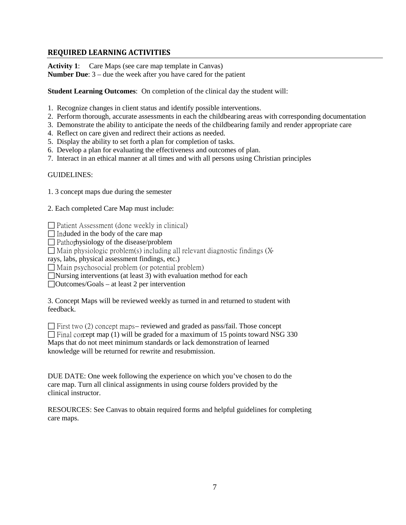#### **REQUIRED LEARNING ACTIVITIES**

**Activity 1**: Care Maps (see care map template in Canvas)

**Number Due**: 3 – due the week after you have cared for the patient

**Student Learning Outcomes**: On completion of the clinical day the student will:

- 1. Recognize changes in client status and identify possible interventions.
- 2. Perform thorough, accurate assessments in each the childbearing areas with corresponding documentation
- 3. Demonstrate the ability to anticipate the needs of the childbearing family and render appropriate care
- 4. Reflect on care given and redirect their actions as needed.
- 5. Display the ability to set forth a plan for completion of tasks.
- 6. Develop a plan for evaluating the effectiveness and outcomes of plan.
- 7. Interact in an ethical manner at all times and with all persons using Christian principles

#### GUIDELINES:

- 1. 3 concept maps due during the semester
- 2. Each completed Care Map must include:

 $\Box$  Patient Assessment (done weekly in clinical)

 $\Box$  Induded in the body of the care map

 $\Box$  Pathophysiology of the disease/problem

 $\Box$  Main physiologic problem(s) including all relevant diagnostic findings (X-

rays, labs, physical assessment findings, etc.)

 $\Box$  Main psychosocial problem (or potential problem)

Nursing interventions (at least 3) with evaluation method for each

Outcomes/Goals – at least 2 per intervention

3. Concept Maps will be reviewed weekly as turned in and returned to student with feedback.

 $\Box$  First two (2) concept maps-reviewed and graded as pass/fail. Those concept  $\Box$  Final concept map (1) will be graded for a maximum of 15 points toward NSG 330 Maps that do not meet minimum standards or lack demonstration of learned knowledge will be returned for rewrite and resubmission.

DUE DATE: One week following the experience on which you've chosen to do the care map. Turn all clinical assignments in using course folders provided by the clinical instructor.

RESOURCES: See Canvas to obtain required forms and helpful guidelines for completing care maps.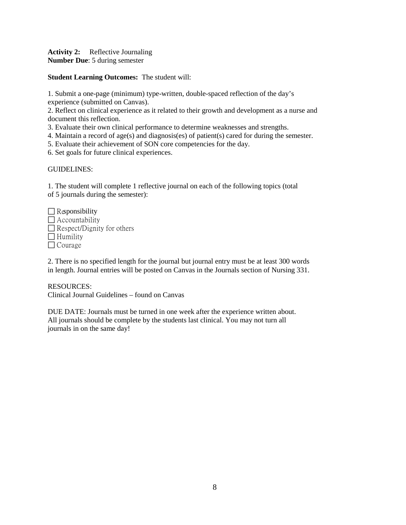**Activity 2:** Reflective Journaling **Number Due**: 5 during semester

#### **Student Learning Outcomes:** The student will:

1. Submit a one-page (minimum) type-written, double-spaced reflection of the day's experience (submitted on Canvas).

2. Reflect on clinical experience as it related to their growth and development as a nurse and document this reflection.

3. Evaluate their own clinical performance to determine weaknesses and strengths.

4. Maintain a record of age(s) and diagnosis(es) of patient(s) cared for during the semester.

5. Evaluate their achievement of SON core competencies for the day.

6. Set goals for future clinical experiences.

#### GUIDELINES:

1. The student will complete 1 reflective journal on each of the following topics (total of 5 journals during the semester):

| $\Box$ Responsibility             |
|-----------------------------------|
| $\Box$ Accountability             |
| $\Box$ Respect/Dignity for others |
| $\Box$ Humility                   |
| $\Box$ Courage                    |

2. There is no specified length for the journal but journal entry must be at least 300 words in length. Journal entries will be posted on Canvas in the Journals section of Nursing 331.

RESOURCES:

Clinical Journal Guidelines – found on Canvas

DUE DATE: Journals must be turned in one week after the experience written about. All journals should be complete by the students last clinical. You may not turn all journals in on the same day!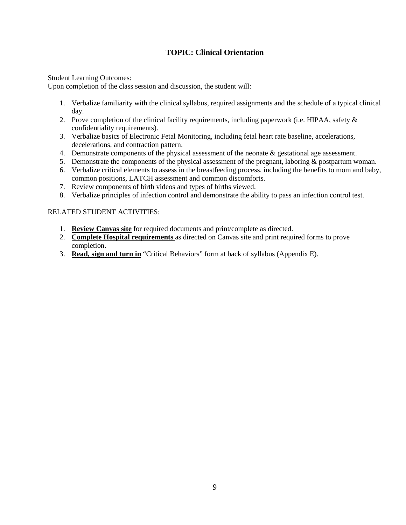# **TOPIC: Clinical Orientation**

#### Student Learning Outcomes:

Upon completion of the class session and discussion, the student will:

- 1. Verbalize familiarity with the clinical syllabus, required assignments and the schedule of a typical clinical day.
- 2. Prove completion of the clinical facility requirements, including paperwork (i.e. HIPAA, safety & confidentiality requirements).
- 3. Verbalize basics of Electronic Fetal Monitoring, including fetal heart rate baseline, accelerations, decelerations, and contraction pattern.
- 4. Demonstrate components of the physical assessment of the neonate & gestational age assessment.
- 5. Demonstrate the components of the physical assessment of the pregnant, laboring & postpartum woman.
- 6. Verbalize critical elements to assess in the breastfeeding process, including the benefits to mom and baby, common positions, LATCH assessment and common discomforts.
- 7. Review components of birth videos and types of births viewed.
- 8. Verbalize principles of infection control and demonstrate the ability to pass an infection control test.

#### RELATED STUDENT ACTIVITIES:

- 1. **Review Canvas site** for required documents and print/complete as directed.
- 2. **Complete Hospital requirements** as directed on Canvas site and print required forms to prove completion.
- 3. **Read, sign and turn in** "Critical Behaviors" form at back of syllabus (Appendix E).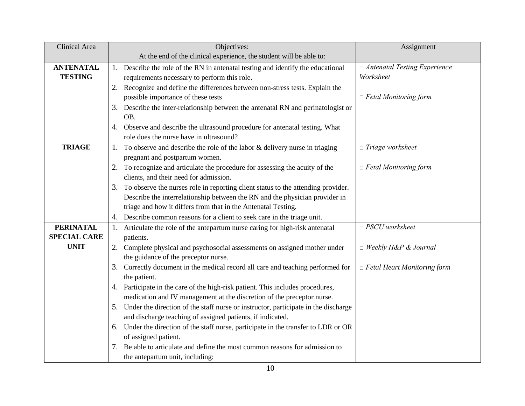| Clinical Area       | Objectives:                                                                                | Assignment                          |
|---------------------|--------------------------------------------------------------------------------------------|-------------------------------------|
|                     | At the end of the clinical experience, the student will be able to:                        |                                     |
| <b>ANTENATAL</b>    | Describe the role of the RN in antenatal testing and identify the educational<br>1.        | $\Box$ Antenatal Testing Experience |
| <b>TESTING</b>      | requirements necessary to perform this role.                                               | Worksheet                           |
|                     | 2. Recognize and define the differences between non-stress tests. Explain the              |                                     |
|                     | possible importance of these tests                                                         | $\Box$ Fetal Monitoring form        |
|                     | 3. Describe the inter-relationship between the antenatal RN and perinatologist or          |                                     |
|                     | OB.                                                                                        |                                     |
|                     | 4. Observe and describe the ultrasound procedure for antenatal testing. What               |                                     |
|                     | role does the nurse have in ultrasound?                                                    |                                     |
| <b>TRIAGE</b>       | 1. To observe and describe the role of the labor & delivery nurse in triaging              | $\Box$ Triage worksheet             |
|                     | pregnant and postpartum women.                                                             |                                     |
|                     | 2. To recognize and articulate the procedure for assessing the acuity of the               | $\Box$ Fetal Monitoring form        |
|                     | clients, and their need for admission.                                                     |                                     |
|                     | 3. To observe the nurses role in reporting client status to the attending provider.        |                                     |
|                     | Describe the interrelationship between the RN and the physician provider in                |                                     |
|                     | triage and how it differs from that in the Antenatal Testing.                              |                                     |
| <b>PERINATAL</b>    | 4. Describe common reasons for a client to seek care in the triage unit.                   | $\Box$ PSCU worksheet               |
| <b>SPECIAL CARE</b> | 1. Articulate the role of the antepartum nurse caring for high-risk antenatal<br>patients. |                                     |
| <b>UNIT</b>         | 2. Complete physical and psychosocial assessments on assigned mother under                 | $\Box$ Weekly H&P & Journal         |
|                     | the guidance of the preceptor nurse.                                                       |                                     |
|                     | 3. Correctly document in the medical record all care and teaching performed for            | $\Box$ Fetal Heart Monitoring form  |
|                     | the patient.                                                                               |                                     |
|                     | 4. Participate in the care of the high-risk patient. This includes procedures,             |                                     |
|                     | medication and IV management at the discretion of the preceptor nurse.                     |                                     |
|                     | 5. Under the direction of the staff nurse or instructor, participate in the discharge      |                                     |
|                     | and discharge teaching of assigned patients, if indicated.                                 |                                     |
|                     | 6. Under the direction of the staff nurse, participate in the transfer to LDR or OR        |                                     |
|                     | of assigned patient.                                                                       |                                     |
|                     | 7. Be able to articulate and define the most common reasons for admission to               |                                     |
|                     | the antepartum unit, including:                                                            |                                     |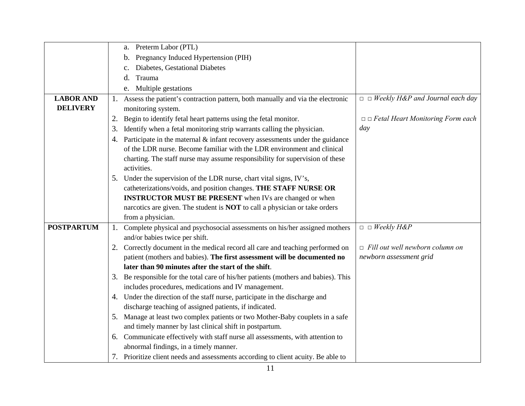|                   | Preterm Labor (PTL)<br>a.                                                            |                                         |
|-------------------|--------------------------------------------------------------------------------------|-----------------------------------------|
|                   | Pregnancy Induced Hypertension (PIH)<br>b.                                           |                                         |
|                   | Diabetes, Gestational Diabetes                                                       |                                         |
|                   | Trauma<br>d.                                                                         |                                         |
|                   | e. Multiple gestations                                                               |                                         |
| <b>LABOR AND</b>  | Assess the patient's contraction pattern, both manually and via the electronic<br>1. | $\Box$ Weekly H&P and Journal each day  |
| <b>DELIVERY</b>   | monitoring system.                                                                   |                                         |
|                   | 2.<br>Begin to identify fetal heart patterns using the fetal monitor.                | $\Box$ Fetal Heart Monitoring Form each |
|                   | Identify when a fetal monitoring strip warrants calling the physician.<br>3.         | day                                     |
|                   | 4. Participate in the maternal $&$ infant recovery assessments under the guidance    |                                         |
|                   | of the LDR nurse. Become familiar with the LDR environment and clinical              |                                         |
|                   | charting. The staff nurse may assume responsibility for supervision of these         |                                         |
|                   | activities.                                                                          |                                         |
|                   | 5. Under the supervision of the LDR nurse, chart vital signs, IV's,                  |                                         |
|                   | catheterizations/voids, and position changes. THE STAFF NURSE OR                     |                                         |
|                   | <b>INSTRUCTOR MUST BE PRESENT</b> when IVs are changed or when                       |                                         |
|                   | narcotics are given. The student is NOT to call a physician or take orders           |                                         |
|                   | from a physician.                                                                    |                                         |
| <b>POSTPARTUM</b> | Complete physical and psychosocial assessments on his/her assigned mothers<br>1.     | $\Box$ Weekly H&P                       |
|                   | and/or babies twice per shift.                                                       |                                         |
|                   | 2. Correctly document in the medical record all care and teaching performed on       | $\Box$ Fill out well newborn column on  |
|                   | patient (mothers and babies). The first assessment will be documented no             | newborn assessment grid                 |
|                   | later than 90 minutes after the start of the shift.                                  |                                         |
|                   | 3. Be responsible for the total care of his/her patients (mothers and babies). This  |                                         |
|                   | includes procedures, medications and IV management.                                  |                                         |
|                   | 4. Under the direction of the staff nurse, participate in the discharge and          |                                         |
|                   | discharge teaching of assigned patients, if indicated.                               |                                         |
|                   | 5. Manage at least two complex patients or two Mother-Baby couplets in a safe        |                                         |
|                   | and timely manner by last clinical shift in postpartum.                              |                                         |
|                   | 6. Communicate effectively with staff nurse all assessments, with attention to       |                                         |
|                   | abnormal findings, in a timely manner.                                               |                                         |
|                   | 7. Prioritize client needs and assessments according to client acuity. Be able to    |                                         |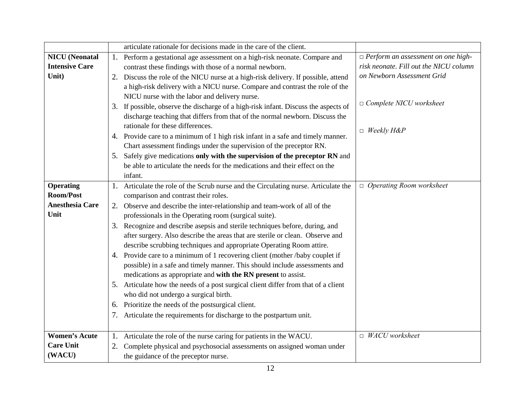|                        | articulate rationale for decisions made in the care of the client.                  |                                           |
|------------------------|-------------------------------------------------------------------------------------|-------------------------------------------|
| <b>NICU</b> (Neonatal  | 1. Perform a gestational age assessment on a high-risk neonate. Compare and         | $\Box$ Perform an assessment on one high- |
| <b>Intensive Care</b>  | contrast these findings with those of a normal newborn.                             | risk neonate. Fill out the NICU column    |
| Unit)                  | 2. Discuss the role of the NICU nurse at a high-risk delivery. If possible, attend  | on Newborn Assessment Grid                |
|                        | a high-risk delivery with a NICU nurse. Compare and contrast the role of the        |                                           |
|                        | NICU nurse with the labor and delivery nurse.                                       |                                           |
|                        | 3. If possible, observe the discharge of a high-risk infant. Discuss the aspects of | $\Box$ Complete NICU worksheet            |
|                        | discharge teaching that differs from that of the normal newborn. Discuss the        |                                           |
|                        | rationale for these differences.                                                    | $\Box$ Weekly H&P                         |
|                        | 4. Provide care to a minimum of 1 high risk infant in a safe and timely manner.     |                                           |
|                        | Chart assessment findings under the supervision of the preceptor RN.                |                                           |
|                        | Safely give medications only with the supervision of the preceptor RN and<br>5.     |                                           |
|                        | be able to articulate the needs for the medications and their effect on the         |                                           |
|                        | infant.                                                                             |                                           |
| <b>Operating</b>       | 1. Articulate the role of the Scrub nurse and the Circulating nurse. Articulate the | $\Box$ Operating Room worksheet           |
| <b>Room/Post</b>       | comparison and contrast their roles.                                                |                                           |
| <b>Anesthesia Care</b> | 2. Observe and describe the inter-relationship and team-work of all of the          |                                           |
| Unit                   | professionals in the Operating room (surgical suite).                               |                                           |
|                        | 3. Recognize and describe asepsis and sterile techniques before, during, and        |                                           |
|                        | after surgery. Also describe the areas that are sterile or clean. Observe and       |                                           |
|                        | describe scrubbing techniques and appropriate Operating Room attire.                |                                           |
|                        | 4. Provide care to a minimum of 1 recovering client (mother /baby couplet if        |                                           |
|                        | possible) in a safe and timely manner. This should include assessments and          |                                           |
|                        | medications as appropriate and with the RN present to assist.                       |                                           |
|                        | 5. Articulate how the needs of a post surgical client differ from that of a client  |                                           |
|                        | who did not undergo a surgical birth.                                               |                                           |
|                        | 6. Prioritize the needs of the postsurgical client.                                 |                                           |
|                        | 7. Articulate the requirements for discharge to the postpartum unit.                |                                           |
| <b>Women's Acute</b>   |                                                                                     | $\Box$ WACU worksheet                     |
| <b>Care Unit</b>       | Articulate the role of the nurse caring for patients in the WACU.<br>1.             |                                           |
| (WACU)                 | Complete physical and psychosocial assessments on assigned woman under<br>2.        |                                           |
|                        | the guidance of the preceptor nurse.                                                |                                           |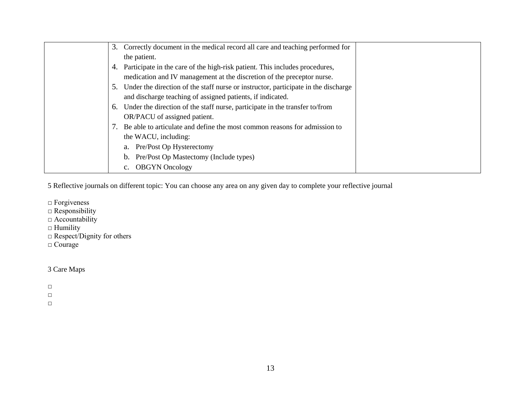| 3. Correctly document in the medical record all care and teaching performed for       |  |
|---------------------------------------------------------------------------------------|--|
| the patient.                                                                          |  |
| 4. Participate in the care of the high-risk patient. This includes procedures,        |  |
| medication and IV management at the discretion of the preceptor nurse.                |  |
| 5. Under the direction of the staff nurse or instructor, participate in the discharge |  |
| and discharge teaching of assigned patients, if indicated.                            |  |
| 6. Under the direction of the staff nurse, participate in the transfer to/from        |  |
| OR/PACU of assigned patient.                                                          |  |
| 7. Be able to articulate and define the most common reasons for admission to          |  |
| the WACU, including:                                                                  |  |
| Pre/Post Op Hysterectomy<br>a.                                                        |  |
| Pre/Post Op Mastectomy (Include types)                                                |  |
| <b>OBGYN</b> Oncology                                                                 |  |

5 Reflective journals on different topic: You can choose any area on any given day to complete your reflective journal

□ Forgiveness

□ Responsibility

□ Accountability

□ Humility

 $\Box$  Respect/Dignity for others

 $\Box$  Courage

# 3 Care Maps

□

□

□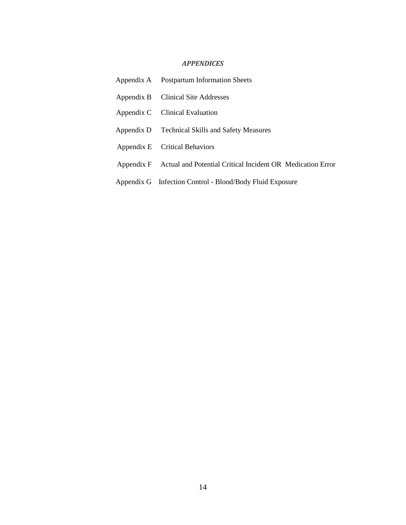# *APPENDICES*

|            | Appendix A Postpartum Information Sheets                   |
|------------|------------------------------------------------------------|
|            | Appendix B Clinical Site Addresses                         |
|            | Appendix C Clinical Evaluation                             |
|            | Appendix D Technical Skills and Safety Measures            |
|            | Appendix E Critical Behaviors                              |
| Appendix F | Actual and Potential Critical Incident OR Medication Error |
|            | Appendix G Infection Control - Blood/Body Fluid Exposure   |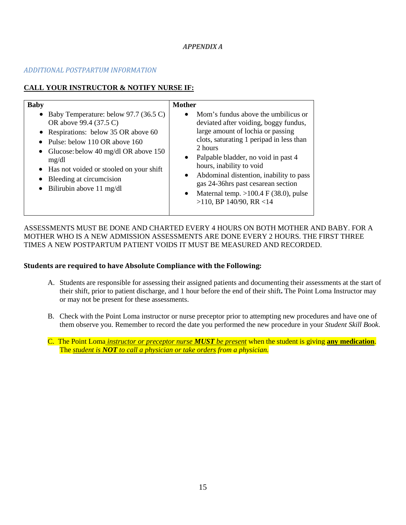#### *APPENDIX A*

#### *ADDITIONAL POSTPARTUM INFORMATION*

## **CALL YOUR INSTRUCTOR & NOTIFY NURSE IF:**

| <b>Baby</b><br>Baby Temperature: below 97.7 (36.5 C)<br>$\bullet$<br>OR above 99.4 (37.5 C)<br>• Respirations: below 35 OR above 60<br>Pulse: below 110 OR above 160<br>$\bullet$<br>Glucose: below 40 mg/dl OR above 150<br>$\bullet$<br>mg/dl<br>• Has not voided or stooled on your shift<br>Bleeding at circumcision<br>Bilirubin above 11 mg/dl<br>$\bullet$ | <b>Mother</b><br>Mom's fundus above the umbilicus or<br>$\bullet$<br>deviated after voiding, boggy fundus,<br>large amount of lochia or passing<br>clots, saturating 1 peripad in less than<br>2 hours<br>Palpable bladder, no void in past 4<br>$\bullet$<br>hours, inability to void<br>Abdominal distention, inability to pass<br>$\bullet$<br>gas 24-36hrs past cesarean section<br>Maternal temp. $>100.4$ F (38.0), pulse<br>$\bullet$<br>$>110$ , BP 140/90, RR <14 |
|-------------------------------------------------------------------------------------------------------------------------------------------------------------------------------------------------------------------------------------------------------------------------------------------------------------------------------------------------------------------|----------------------------------------------------------------------------------------------------------------------------------------------------------------------------------------------------------------------------------------------------------------------------------------------------------------------------------------------------------------------------------------------------------------------------------------------------------------------------|
|                                                                                                                                                                                                                                                                                                                                                                   |                                                                                                                                                                                                                                                                                                                                                                                                                                                                            |

ASSESSMENTS MUST BE DONE AND CHARTED EVERY 4 HOURS ON BOTH MOTHER AND BABY. FOR A MOTHER WHO IS A NEW ADMISSION ASSESSMENTS ARE DONE EVERY 2 HOURS. THE FIRST THREE TIMES A NEW POSTPARTUM PATIENT VOIDS IT MUST BE MEASURED AND RECORDED.

#### **Students are required to have Absolute Compliance with the Following:**

- A. Students are responsible for assessing their assigned patients and documenting their assessments at the start of their shift, prior to patient discharge, and 1 hour before the end of their shift**.** The Point Loma Instructor may or may not be present for these assessments.
- B. Check with the Point Loma instructor or nurse preceptor prior to attempting new procedures and have one of them observe you. Remember to record the date you performed the new procedure in your *Student Skill Book*.
- C. The Point Loma *instructor or preceptor nurse MUST be present* when the student is giving **any medication**. The *student is NOT to call a physician or take orders from a physician.*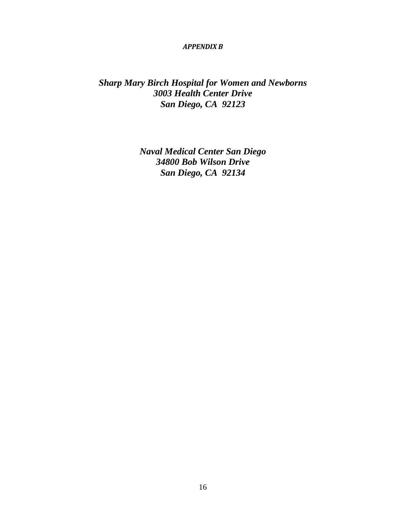#### *APPENDIX B*

# *Sharp Mary Birch Hospital for Women and Newborns 3003 Health Center Drive San Diego, CA 92123*

*Naval Medical Center San Diego 34800 Bob Wilson Drive San Diego, CA 92134*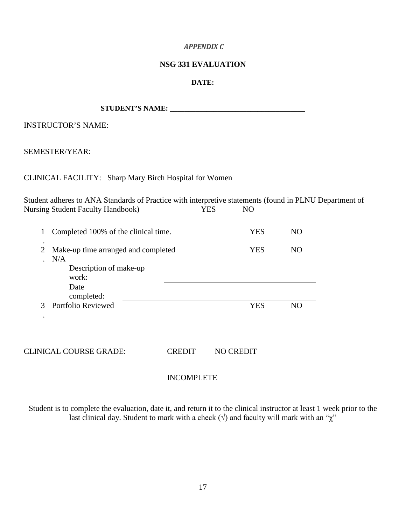#### *APPENDIX C*

# **NSG 331 EVALUATION**

## **DATE:**

# INSTRUCTOR'S NAME:

# SEMESTER/YEAR:

CLINICAL FACILITY: Sharp Mary Birch Hospital for Women

Student adheres to ANA Standards of Practice with interpretive statements (found in PLNU Department of Nursing Student Faculty Handbook) YES NO

| $\mathbf{1}$       | Completed 100% of the clinical time.       |        | YES                  | N <sub>O</sub> |
|--------------------|--------------------------------------------|--------|----------------------|----------------|
| $\bullet$<br>2     | Make-up time arranged and completed<br>N/A |        | <b>YES</b>           | N <sub>O</sub> |
|                    | Description of make-up<br>work:            |        |                      |                |
|                    | Date<br>completed:                         |        |                      |                |
| $\mathcal{R}$<br>٠ | Portfolio Reviewed                         |        | <b>YES</b>           | N <sub>O</sub> |
|                    |                                            |        |                      |                |
|                    | <b>CLINICAL COURSE GRADE:</b>              | EREDIT | <b>CREDIT</b><br>NO. |                |

## INCOMPLETE

Student is to complete the evaluation, date it, and return it to the clinical instructor at least 1 week prior to the last clinical day. Student to mark with a check ( $\sqrt{ }$ ) and faculty will mark with an " $\chi$ "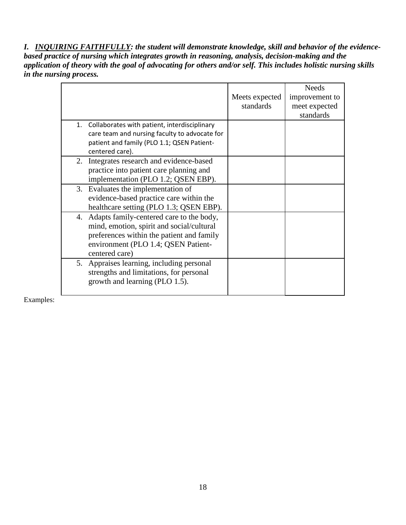*I. INQUIRING FAITHFULLY: the student will demonstrate knowledge, skill and behavior of the evidencebased practice of nursing which integrates growth in reasoning, analysis, decision-making and the application of theory with the goal of advocating for others and/or self. This includes holistic nursing skills in the nursing process.* 

|                                                                                                                                                                                                | Meets expected<br>standards | Needs<br>improvement to<br>meet expected<br>standards |
|------------------------------------------------------------------------------------------------------------------------------------------------------------------------------------------------|-----------------------------|-------------------------------------------------------|
| 1. Collaborates with patient, interdisciplinary<br>care team and nursing faculty to advocate for<br>patient and family (PLO 1.1; QSEN Patient-<br>centered care).                              |                             |                                                       |
| 2. Integrates research and evidence-based<br>practice into patient care planning and<br>implementation (PLO 1.2; QSEN EBP).                                                                    |                             |                                                       |
| 3. Evaluates the implementation of<br>evidence-based practice care within the<br>healthcare setting (PLO 1.3; QSEN EBP).                                                                       |                             |                                                       |
| 4. Adapts family-centered care to the body,<br>mind, emotion, spirit and social/cultural<br>preferences within the patient and family<br>environment (PLO 1.4; QSEN Patient-<br>centered care) |                             |                                                       |
| 5. Appraises learning, including personal<br>strengths and limitations, for personal<br>growth and learning (PLO 1.5).                                                                         |                             |                                                       |

Examples: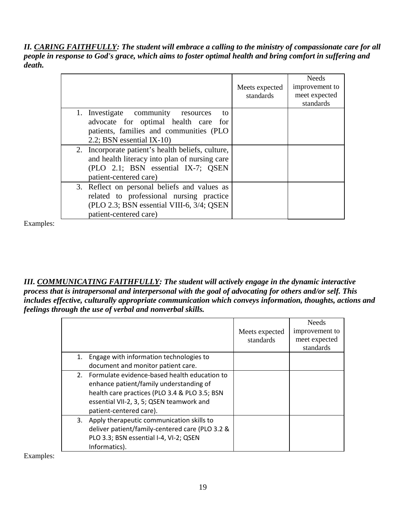*II. CARING FAITHFULLY: The student will embrace a calling to the ministry of compassionate care for all people in response to God's grace, which aims to foster optimal health and bring comfort in suffering and death.*

|                                                                                                                                                                    | Meets expected<br>standards | <b>Needs</b><br>improvement to<br>meet expected<br>standards |
|--------------------------------------------------------------------------------------------------------------------------------------------------------------------|-----------------------------|--------------------------------------------------------------|
| 1. Investigate community resources<br>to<br>advocate for optimal health care for<br>patients, families and communities (PLO<br>2.2; BSN essential IX-10)           |                             |                                                              |
| 2. Incorporate patient's health beliefs, culture,<br>and health literacy into plan of nursing care<br>(PLO 2.1; BSN essential IX-7; QSEN<br>patient-centered care) |                             |                                                              |
| 3. Reflect on personal beliefs and values as<br>related to professional nursing practice<br>(PLO 2.3; BSN essential VIII-6, 3/4; QSEN<br>patient-centered care)    |                             |                                                              |

Examples:

*III. COMMUNICATING FAITHFULLY: The student will actively engage in the dynamic interactive process that is intrapersonal and interpersonal with the goal of advocating for others and/or self. This includes effective, culturally appropriate communication which conveys information, thoughts, actions and feelings through the use of verbal and nonverbal skills.*

|                                                 | Meets expected<br>standards | <b>Needs</b><br>improvement to<br>meet expected |
|-------------------------------------------------|-----------------------------|-------------------------------------------------|
|                                                 |                             | standards                                       |
| 1. Engage with information technologies to      |                             |                                                 |
| document and monitor patient care.              |                             |                                                 |
| 2. Formulate evidence-based health education to |                             |                                                 |
| enhance patient/family understanding of         |                             |                                                 |
| health care practices (PLO 3.4 & PLO 3.5; BSN   |                             |                                                 |
| essential VII-2, 3, 5; QSEN teamwork and        |                             |                                                 |
| patient-centered care).                         |                             |                                                 |
| 3. Apply therapeutic communication skills to    |                             |                                                 |
| deliver patient/family-centered care (PLO 3.2 & |                             |                                                 |
| PLO 3.3; BSN essential I-4, VI-2; QSEN          |                             |                                                 |
| Informatics).                                   |                             |                                                 |

Examples: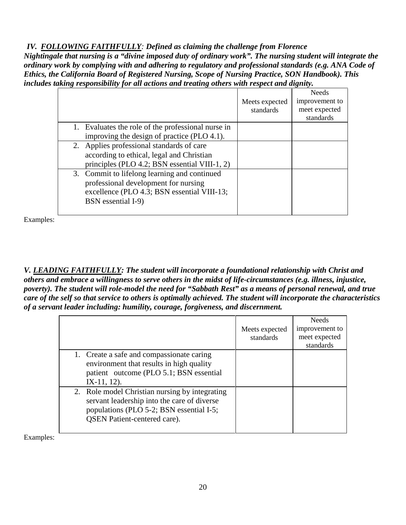*IV. FOLLOWING FAITHFULLY: Defined as claiming the challenge from Florence Nightingale that nursing is a "divine imposed duty of ordinary work". The nursing student will integrate the ordinary work by complying with and adhering to regulatory and professional standards (e.g. ANA Code of Ethics, the California Board of Registered Nursing, Scope of Nursing Practice, SON Handbook). This includes taking responsibility for all actions and treating others with respect and dignity.*

|                                                    | Meets expected<br>standards | <b>Needs</b><br>improvement to<br>meet expected<br>standards |
|----------------------------------------------------|-----------------------------|--------------------------------------------------------------|
| 1. Evaluates the role of the professional nurse in |                             |                                                              |
| improving the design of practice (PLO 4.1).        |                             |                                                              |
| 2. Applies professional standards of care          |                             |                                                              |
| according to ethical, legal and Christian          |                             |                                                              |
| principles (PLO 4.2; BSN essential VIII-1, 2)      |                             |                                                              |
| 3. Commit to lifelong learning and continued       |                             |                                                              |
| professional development for nursing               |                             |                                                              |
| excellence (PLO 4.3; BSN essential VIII-13;        |                             |                                                              |
| BSN essential I-9)                                 |                             |                                                              |
|                                                    |                             |                                                              |

Examples:

*V. LEADING FAITHFULLY: The student will incorporate a foundational relationship with Christ and others and embrace a willingness to serve others in the midst of life-circumstances (e.g. illness, injustice, poverty). The student will role-model the need for "Sabbath Rest" as a means of personal renewal, and true care of the self so that service to others is optimally achieved. The student will incorporate the characteristics of a servant leader including: humility, courage, forgiveness, and discernment.*

|                                                                                                                                                                                  | Meets expected<br>standards | <b>Needs</b><br>improvement to<br>meet expected<br>standards |
|----------------------------------------------------------------------------------------------------------------------------------------------------------------------------------|-----------------------------|--------------------------------------------------------------|
| 1. Create a safe and compassionate caring<br>environment that results in high quality<br>patient outcome (PLO 5.1; BSN essential<br>$IX-11, 12$ ).                               |                             |                                                              |
| 2. Role model Christian nursing by integrating<br>servant leadership into the care of diverse<br>populations (PLO 5-2; BSN essential I-5;<br><b>QSEN</b> Patient-centered care). |                             |                                                              |

Examples: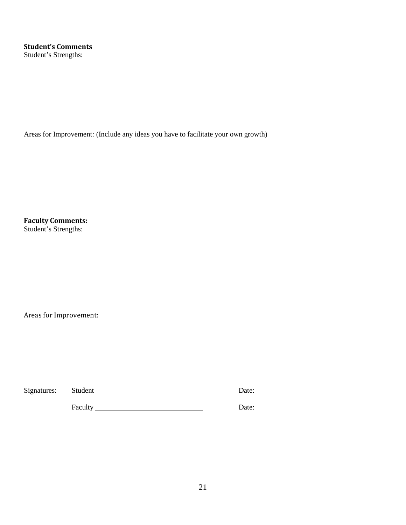Areas for Improvement: (Include any ideas you have to facilitate your own growth)

**Faculty Comments:** Student's Strengths:

Areas for Improvement:

| Signatures: Student |         | Date: |
|---------------------|---------|-------|
|                     | Faculty | Date: |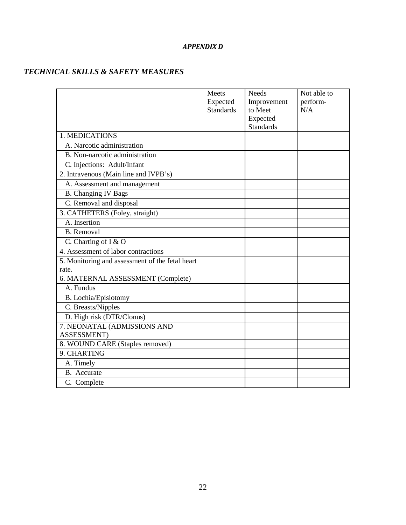#### *APPENDIX D*

# *TECHNICAL SKILLS & SAFETY MEASURES*

|                                                 | Meets            | <b>Needs</b>     | Not able to |
|-------------------------------------------------|------------------|------------------|-------------|
|                                                 | Expected         | Improvement      | perform-    |
|                                                 | <b>Standards</b> | to Meet          | N/A         |
|                                                 |                  | Expected         |             |
|                                                 |                  | <b>Standards</b> |             |
| 1. MEDICATIONS                                  |                  |                  |             |
| A. Narcotic administration                      |                  |                  |             |
| B. Non-narcotic administration                  |                  |                  |             |
| C. Injections: Adult/Infant                     |                  |                  |             |
| 2. Intravenous (Main line and IVPB's)           |                  |                  |             |
| A. Assessment and management                    |                  |                  |             |
| <b>B.</b> Changing IV Bags                      |                  |                  |             |
| C. Removal and disposal                         |                  |                  |             |
| 3. CATHETERS (Foley, straight)                  |                  |                  |             |
| A. Insertion                                    |                  |                  |             |
| <b>B.</b> Removal                               |                  |                  |             |
| C. Charting of I & O                            |                  |                  |             |
| 4. Assessment of labor contractions             |                  |                  |             |
| 5. Monitoring and assessment of the fetal heart |                  |                  |             |
| rate.                                           |                  |                  |             |
| 6. MATERNAL ASSESSMENT (Complete)               |                  |                  |             |
| A. Fundus                                       |                  |                  |             |
| B. Lochia/Episiotomy                            |                  |                  |             |
| C. Breasts/Nipples                              |                  |                  |             |
| D. High risk (DTR/Clonus)                       |                  |                  |             |
| 7. NEONATAL (ADMISSIONS AND                     |                  |                  |             |
| <b>ASSESSMENT</b> )                             |                  |                  |             |
| 8. WOUND CARE (Staples removed)                 |                  |                  |             |
| 9. CHARTING                                     |                  |                  |             |
| A. Timely                                       |                  |                  |             |
| <b>B.</b> Accurate                              |                  |                  |             |
| C. Complete                                     |                  |                  |             |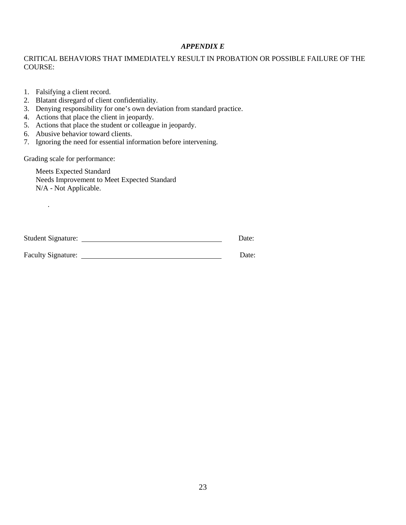#### *APPENDIX E*

## CRITICAL BEHAVIORS THAT IMMEDIATELY RESULT IN PROBATION OR POSSIBLE FAILURE OF THE COURSE:

- 1. Falsifying a client record.
- 2. Blatant disregard of client confidentiality.
- 3. Denying responsibility for one's own deviation from standard practice.
- 4. Actions that place the client in jeopardy.
- 5. Actions that place the student or colleague in jeopardy.
- 6. Abusive behavior toward clients.
- 7. Ignoring the need for essential information before intervening.

Grading scale for performance:

.

Meets Expected Standard Needs Improvement to Meet Expected Standard N/A - Not Applicable.

| <b>Student Signature:</b> |
|---------------------------|
|                           |

Faculty Signature: Date: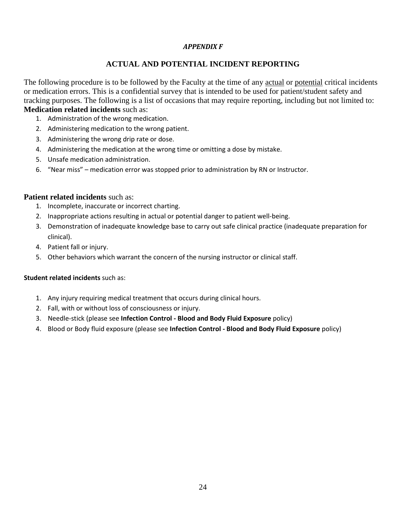# *APPENDIX F*

# **ACTUAL AND POTENTIAL INCIDENT REPORTING**

The following procedure is to be followed by the Faculty at the time of any actual or potential critical incidents or medication errors. This is a confidential survey that is intended to be used for patient/student safety and tracking purposes. The following is a list of occasions that may require reporting, including but not limited to: **Medication related incidents** such as:

- 1. Administration of the wrong medication.
- 2. Administering medication to the wrong patient.
- 3. Administering the wrong drip rate or dose.
- 4. Administering the medication at the wrong time or omitting a dose by mistake.
- 5. Unsafe medication administration.
- 6. "Near miss" medication error was stopped prior to administration by RN or Instructor.

# **Patient related incidents** such as:

- 1. Incomplete, inaccurate or incorrect charting.
- 2. Inappropriate actions resulting in actual or potential danger to patient well-being.
- 3. Demonstration of inadequate knowledge base to carry out safe clinical practice (inadequate preparation for clinical).
- 4. Patient fall or injury.
- 5. Other behaviors which warrant the concern of the nursing instructor or clinical staff.

## **Student related incidents** such as:

- 1. Any injury requiring medical treatment that occurs during clinical hours.
- 2. Fall, with or without loss of consciousness or injury.
- 3. Needle-stick (please see **Infection Control - Blood and Body Fluid Exposure** policy)
- 4. Blood or Body fluid exposure (please see **Infection Control - Blood and Body Fluid Exposure** policy)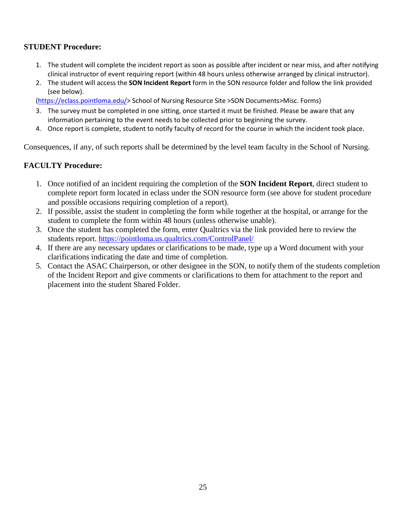# **STUDENT Procedure:**

- 1. The student will complete the incident report as soon as possible after incident or near miss, and after notifying clinical instructor of event requiring report (within 48 hours unless otherwise arranged by clinical instructor).
- 2. The student will access the **SON Incident Report** form in the SON resource folder and follow the link provided (see below).

[\(https://eclass.pointloma.edu/>](https://eclass.pointloma.edu/) School of Nursing Resource Site >SON Documents>Misc. Forms)

- 3. The survey must be completed in one sitting, once started it must be finished. Please be aware that any information pertaining to the event needs to be collected prior to beginning the survey.
- 4. Once report is complete, student to notify faculty of record for the course in which the incident took place.

Consequences, if any, of such reports shall be determined by the level team faculty in the School of Nursing.

# **FACULTY Procedure:**

- 1. Once notified of an incident requiring the completion of the **SON Incident Report**, direct student to complete report form located in eclass under the SON resource form (see above for student procedure and possible occasions requiring completion of a report).
- 2. If possible, assist the student in completing the form while together at the hospital, or arrange for the student to complete the form within 48 hours (unless otherwise unable).
- 3. Once the student has completed the form, enter Qualtrics via the link provided here to review the students report.<https://pointloma.us.qualtrics.com/ControlPanel/>
- 4. If there are any necessary updates or clarifications to be made, type up a Word document with your clarifications indicating the date and time of completion.
- 5. Contact the ASAC Chairperson, or other designee in the SON, to notify them of the students completion of the Incident Report and give comments or clarifications to them for attachment to the report and placement into the student Shared Folder.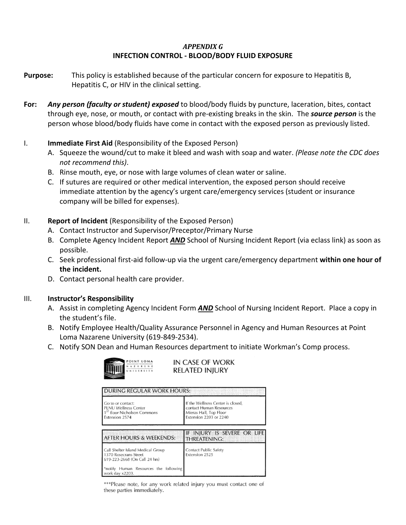# *APPENDIX G* **INFECTION CONTROL - BLOOD/BODY FLUID EXPOSURE**

- **Purpose:** This policy is established because of the particular concern for exposure to Hepatitis B, Hepatitis C, or HIV in the clinical setting.
- **For:** *Any person (faculty or student) exposed* to blood/body fluids by puncture, laceration, bites, contact through eye, nose, or mouth, or contact with pre-existing breaks in the skin. The *source person* is the person whose blood/body fluids have come in contact with the exposed person as previously listed.
- I. **Immediate First Aid** (Responsibility of the Exposed Person)
	- A. Squeeze the wound/cut to make it bleed and wash with soap and water. *(Please note the CDC does not recommend this)*.
	- B. Rinse mouth, eye, or nose with large volumes of clean water or saline.
	- C. If sutures are required or other medical intervention, the exposed person should receive immediate attention by the agency's urgent care/emergency services (student or insurance company will be billed for expenses).
- II. **Report of Incident** (Responsibility of the Exposed Person)
	- A. Contact Instructor and Supervisor/Preceptor/Primary Nurse
	- B. Complete Agency Incident Report *AND* School of Nursing Incident Report (via eclass link) as soon as possible.
	- C. Seek professional first-aid follow-up via the urgent care/emergency department **within one hour of the incident.**
	- D. Contact personal health care provider.

## III. **Instructor's Responsibility**

- A. Assist in completing Agency Incident Form *AND* School of Nursing Incident Report. Place a copy in the student's file.
- B. Notify Employee Health/Quality Assurance Personnel in Agency and Human Resources at Point Loma Nazarene University (619-849-2534).
- C. Notify SON Dean and Human Resources department to initiate Workman's Comp process.



IN CASE OF WORK **RELATED INJURY** 

| <b>DURING REGULAR WORK HOURS:</b><br>Go to or contact:<br><b>PLNU Wellness Center</b><br>1 <sup>5T</sup> floor Nicholson Commons<br>Extension 2574      | If the Wellness Center is closed,<br>contact Human Resources<br>Mieras Hall, Top Floor<br>Extension 2203 or 2240 |
|---------------------------------------------------------------------------------------------------------------------------------------------------------|------------------------------------------------------------------------------------------------------------------|
| <b>AFTER HOURS &amp; WEEKENDS:</b>                                                                                                                      | IF INJURY IS SEVERE OR LIFE<br><b>THREATENING:</b>                                                               |
| Call Shelter Island Medical Group<br>1370 Rosecrans Street<br>619-223-2668 (On Call 24 hrs)<br>*notify Human Resources the following<br>work day x2203. | Contact Public Safety<br>Extension 2525                                                                          |

\*\*\*Please note, for any work related injury you must contact one of these parties immediately.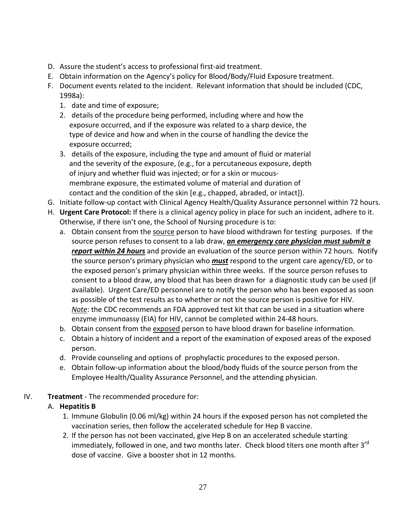- D. Assure the student's access to professional first-aid treatment.
- E. Obtain information on the Agency's policy for Blood/Body/Fluid Exposure treatment.
- F. Document events related to the incident. Relevant information that should be included (CDC, 1998a):
	- 1. date and time of exposure;
	- 2. details of the procedure being performed, including where and how the exposure occurred, and if the exposure was related to a sharp device, the type of device and how and when in the course of handling the device the exposure occurred;
	- 3. details of the exposure, including the type and amount of fluid or material and the severity of the exposure, (e.g., for a percutaneous exposure, depth of injury and whether fluid was injected; or for a skin or mucous membrane exposure, the estimated volume of material and duration of contact and the condition of the skin [e.g., chapped, abraded, or intact]).
- G. Initiate follow-up contact with Clinical Agency Health/Quality Assurance personnel within 72 hours.
- H. **Urgent Care Protocol:** If there is a clinical agency policy in place for such an incident, adhere to it. Otherwise, if there isn't one, the School of Nursing procedure is to:
	- a. Obtain consent from the source person to have blood withdrawn for testing purposes. If the source person refuses to consent to a lab draw, *an emergency care physician must submit a report within 24 hours* and provide an evaluation of the source person within 72 hours. Notify the source person's primary physician who *must* respond to the urgent care agency/ED, or to the exposed person's primary physician within three weeks. If the source person refuses to consent to a blood draw, any blood that has been drawn for a diagnostic study can be used (if available). Urgent Care/ED personnel are to notify the person who has been exposed as soon as possible of the test results as to whether or not the source person is positive for HIV. *Note*: the CDC recommends an FDA approved test kit that can be used in a situation where enzyme immunoassy (EIA) for HIV, cannot be completed within 24-48 hours.
	- b. Obtain consent from the exposed person to have blood drawn for baseline information.
	- c. Obtain a history of incident and a report of the examination of exposed areas of the exposed person.
	- d. Provide counseling and options of prophylactic procedures to the exposed person.
	- e. Obtain follow-up information about the blood/body fluids of the source person from the Employee Health/Quality Assurance Personnel, and the attending physician.
- IV. **Treatment** The recommended procedure for:

# A. **Hepatitis B**

- 1. Immune Globulin (0.06 ml/kg) within 24 hours if the exposed person has not completed the vaccination series, then follow the accelerated schedule for Hep B vaccine.
- 2. If the person has not been vaccinated, give Hep B on an accelerated schedule starting immediately, followed in one, and two months later. Check blood titers one month after 3<sup>rd</sup> dose of vaccine. Give a booster shot in 12 months.